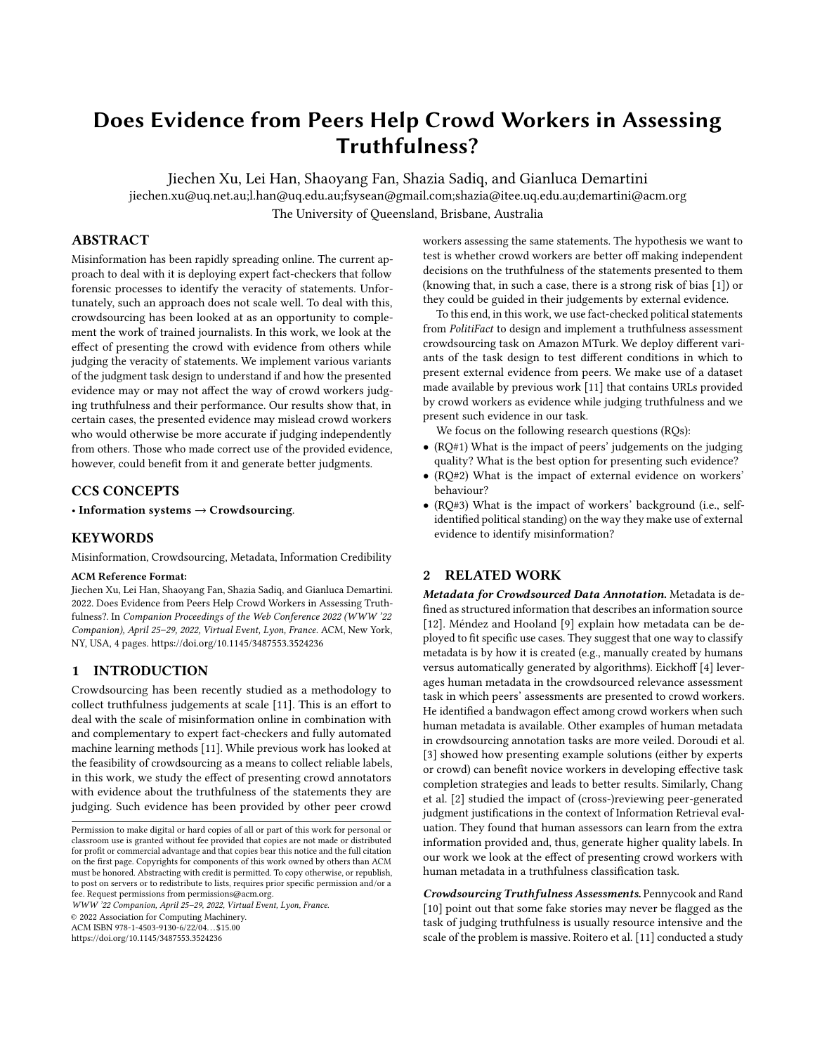# <span id="page-0-0"></span>Does Evidence from Peers Help Crowd Workers in Assessing Truthfulness?

Jiechen Xu, Lei Han, Shaoyang Fan, Shazia Sadiq, and Gianluca Demartini jiechen.xu@uq.net.au;l.han@uq.edu.au;fsysean@gmail.com;shazia@itee.uq.edu.au;demartini@acm.org The University of Queensland, Brisbane, Australia

# ABSTRACT

Misinformation has been rapidly spreading online. The current approach to deal with it is deploying expert fact-checkers that follow forensic processes to identify the veracity of statements. Unfortunately, such an approach does not scale well. To deal with this, crowdsourcing has been looked at as an opportunity to complement the work of trained journalists. In this work, we look at the effect of presenting the crowd with evidence from others while judging the veracity of statements. We implement various variants of the judgment task design to understand if and how the presented evidence may or may not affect the way of crowd workers judging truthfulness and their performance. Our results show that, in certain cases, the presented evidence may mislead crowd workers who would otherwise be more accurate if judging independently from others. Those who made correct use of the provided evidence, however, could benefit from it and generate better judgments.

## CCS CONCEPTS

• Information systems  $\rightarrow$  Crowdsourcing.

## **KEYWORDS**

Misinformation, Crowdsourcing, Metadata, Information Credibility

#### ACM Reference Format:

Jiechen Xu, Lei Han, Shaoyang Fan, Shazia Sadiq, and Gianluca Demartini. 2022. Does Evidence from Peers Help Crowd Workers in Assessing Truthfulness?. In Companion Proceedings of the Web Conference 2022 (WWW '22 Companion), April 25–29, 2022, Virtual Event, Lyon, France. ACM, New York, NY, USA, [4](#page-3-0) pages.<https://doi.org/10.1145/3487553.3524236>

#### 1 INTRODUCTION

Crowdsourcing has been recently studied as a methodology to collect truthfulness judgements at scale [\[11\]](#page-3-1). This is an effort to deal with the scale of misinformation online in combination with and complementary to expert fact-checkers and fully automated machine learning methods [\[11\]](#page-3-1). While previous work has looked at the feasibility of crowdsourcing as a means to collect reliable labels, in this work, we study the effect of presenting crowd annotators with evidence about the truthfulness of the statements they are judging. Such evidence has been provided by other peer crowd

WWW '22 Companion, April 25–29, 2022, Virtual Event, Lyon, France.

© 2022 Association for Computing Machinery.

ACM ISBN 978-1-4503-9130-6/22/04. . . \$15.00

<https://doi.org/10.1145/3487553.3524236>

workers assessing the same statements. The hypothesis we want to test is whether crowd workers are better off making independent decisions on the truthfulness of the statements presented to them (knowing that, in such a case, there is a strong risk of bias [\[1\]](#page-3-2)) or they could be guided in their judgements by external evidence.

To this end, in this work, we use fact-checked political statements from PolitiFact to design and implement a truthfulness assessment crowdsourcing task on Amazon MTurk. We deploy different variants of the task design to test different conditions in which to present external evidence from peers. We make use of a dataset made available by previous work [\[11\]](#page-3-1) that contains URLs provided by crowd workers as evidence while judging truthfulness and we present such evidence in our task.

We focus on the following research questions (RQs):

- (RQ#1) What is the impact of peers' judgements on the judging quality? What is the best option for presenting such evidence?
- (RQ#2) What is the impact of external evidence on workers' behaviour?
- (RQ#3) What is the impact of workers' background (i.e., selfidentified political standing) on the way they make use of external evidence to identify misinformation?

## 2 RELATED WORK

Metadata for Crowdsourced Data Annotation. Metadata is defined as structured information that describes an information source [\[12\]](#page-3-3). Méndez and Hooland [\[9\]](#page-3-4) explain how metadata can be deployed to fit specific use cases. They suggest that one way to classify metadata is by how it is created (e.g., manually created by humans versus automatically generated by algorithms). Eickhoff [\[4\]](#page-3-5) leverages human metadata in the crowdsourced relevance assessment task in which peers' assessments are presented to crowd workers. He identified a bandwagon effect among crowd workers when such human metadata is available. Other examples of human metadata in crowdsourcing annotation tasks are more veiled. Doroudi et al. [\[3\]](#page-3-6) showed how presenting example solutions (either by experts or crowd) can benefit novice workers in developing effective task completion strategies and leads to better results. Similarly, Chang et al. [\[2\]](#page-3-7) studied the impact of (cross-)reviewing peer-generated judgment justifications in the context of Information Retrieval evaluation. They found that human assessors can learn from the extra information provided and, thus, generate higher quality labels. In our work we look at the effect of presenting crowd workers with human metadata in a truthfulness classification task.

Crowdsourcing Truthfulness Assessments. Pennycook and Rand [\[10\]](#page-3-8) point out that some fake stories may never be flagged as the task of judging truthfulness is usually resource intensive and the scale of the problem is massive. Roitero et al. [\[11\]](#page-3-1) conducted a study

Permission to make digital or hard copies of all or part of this work for personal or classroom use is granted without fee provided that copies are not made or distributed for profit or commercial advantage and that copies bear this notice and the full citation on the first page. Copyrights for components of this work owned by others than ACM must be honored. Abstracting with credit is permitted. To copy otherwise, or republish, to post on servers or to redistribute to lists, requires prior specific permission and/or a fee. Request permissions from permissions@acm.org.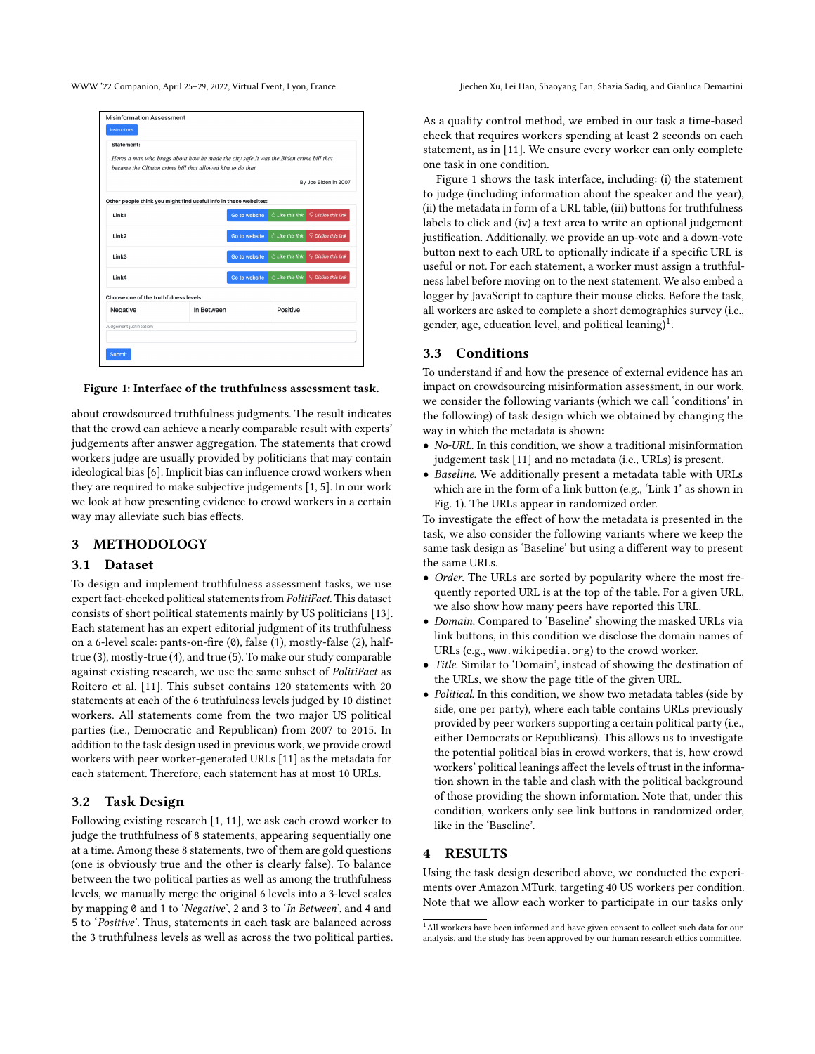<span id="page-1-0"></span>

WWW '22 Companion, April 25-29, 2022, Virtual Event, Lyon, France. Jiechen Xu, Lei Han, Shaoyang Fan, Shazia Sadiq, and Gianluca Demartini

| Statement:                             |                                                                                                                                                     |               |                         |                       |  |
|----------------------------------------|-----------------------------------------------------------------------------------------------------------------------------------------------------|---------------|-------------------------|-----------------------|--|
|                                        | Heres a man who brags about how he made the city safe It was the Biden crime bill that<br>became the Clinton crime bill that allowed him to do that |               |                         |                       |  |
|                                        |                                                                                                                                                     |               |                         | By Joe Biden in 2007  |  |
|                                        | Other people think you might find useful info in these websites:                                                                                    |               |                         |                       |  |
| Link1                                  |                                                                                                                                                     | Go to website | C Like this link        | P Dislike this link   |  |
| Link2                                  |                                                                                                                                                     | Go to website | C Like this link        | Dislike this link     |  |
| Link3                                  |                                                                                                                                                     | Go to website | <b>C Like this link</b> | $Q$ Dislike this link |  |
| Link4                                  |                                                                                                                                                     | Go to website | C Like this link        | Dislike this link     |  |
| Choose one of the truthfulness levels: |                                                                                                                                                     |               |                         |                       |  |
| Negative                               |                                                                                                                                                     | In Between    |                         | Positive              |  |
| Judgement justification:               |                                                                                                                                                     |               |                         |                       |  |

#### Figure 1: Interface of the truthfulness assessment task.

about crowdsourced truthfulness judgments. The result indicates that the crowd can achieve a nearly comparable result with experts' judgements after answer aggregation. The statements that crowd workers judge are usually provided by politicians that may contain ideological bias [\[6\]](#page-3-9). Implicit bias can influence crowd workers when they are required to make subjective judgements [\[1,](#page-3-2) [5\]](#page-3-10). In our work we look at how presenting evidence to crowd workers in a certain way may alleviate such bias effects.

## 3 METHODOLOGY

#### 3.1 Dataset

To design and implement truthfulness assessment tasks, we use expert fact-checked political statements from PolitiFact. This dataset consists of short political statements mainly by US politicians [\[13\]](#page-3-11). Each statement has an expert editorial judgment of its truthfulness on a 6-level scale: pants-on-fire (0), false (1), mostly-false (2), halftrue (3), mostly-true (4), and true (5). To make our study comparable against existing research, we use the same subset of PolitiFact as Roitero et al. [\[11\]](#page-3-1). This subset contains 120 statements with 20 statements at each of the 6 truthfulness levels judged by 10 distinct workers. All statements come from the two major US political parties (i.e., Democratic and Republican) from 2007 to 2015. In addition to the task design used in previous work, we provide crowd workers with peer worker-generated URLs [\[11\]](#page-3-1) as the metadata for each statement. Therefore, each statement has at most 10 URLs.

# 3.2 Task Design

Following existing research [\[1,](#page-3-2) [11\]](#page-3-1), we ask each crowd worker to judge the truthfulness of 8 statements, appearing sequentially one at a time. Among these 8 statements, two of them are gold questions (one is obviously true and the other is clearly false). To balance between the two political parties as well as among the truthfulness levels, we manually merge the original 6 levels into a 3-level scales by mapping 0 and 1 to 'Negative', 2 and 3 to 'In Between', and 4 and 5 to 'Positive'. Thus, statements in each task are balanced across the 3 truthfulness levels as well as across the two political parties. As a quality control method, we embed in our task a time-based check that requires workers spending at least 2 seconds on each statement, as in [\[11\]](#page-3-1). We ensure every worker can only complete one task in one condition.

Figure [1](#page-1-0) shows the task interface, including: (i) the statement to judge (including information about the speaker and the year), (ii) the metadata in form of a URL table, (iii) buttons for truthfulness labels to click and (iv) a text area to write an optional judgement justification. Additionally, we provide an up-vote and a down-vote button next to each URL to optionally indicate if a specific URL is useful or not. For each statement, a worker must assign a truthfulness label before moving on to the next statement. We also embed a logger by JavaScript to capture their mouse clicks. Before the task, all workers are asked to complete a short demographics survey (i.e., gender, age, education level, and political leaning)<sup>[1](#page-0-0)</sup>.

#### 3.3 Conditions

To understand if and how the presence of external evidence has an impact on crowdsourcing misinformation assessment, in our work, we consider the following variants (which we call 'conditions' in the following) of task design which we obtained by changing the way in which the metadata is shown:

- No-URL. In this condition, we show a traditional misinformation judgement task [\[11\]](#page-3-1) and no metadata (i.e., URLs) is present.
- Baseline. We additionally present a metadata table with URLs which are in the form of a link button (e.g., 'Link 1' as shown in Fig. [1\)](#page-1-0). The URLs appear in randomized order.

To investigate the effect of how the metadata is presented in the task, we also consider the following variants where we keep the same task design as 'Baseline' but using a different way to present the same URLs.

- Order. The URLs are sorted by popularity where the most frequently reported URL is at the top of the table. For a given URL, we also show how many peers have reported this URL.
- Domain. Compared to 'Baseline' showing the masked URLs via link buttons, in this condition we disclose the domain names of URLs (e.g., www.wikipedia.org) to the crowd worker.
- Title. Similar to 'Domain', instead of showing the destination of the URLs, we show the page title of the given URL.
- Political. In this condition, we show two metadata tables (side by side, one per party), where each table contains URLs previously provided by peer workers supporting a certain political party (i.e., either Democrats or Republicans). This allows us to investigate the potential political bias in crowd workers, that is, how crowd workers' political leanings affect the levels of trust in the information shown in the table and clash with the political background of those providing the shown information. Note that, under this condition, workers only see link buttons in randomized order, like in the 'Baseline'.

# 4 RESULTS

Using the task design described above, we conducted the experiments over Amazon MTurk, targeting 40 US workers per condition. Note that we allow each worker to participate in our tasks only

 $^1\mathrm{All}$  workers have been informed and have given consent to collect such data for our analysis, and the study has been approved by our human research ethics committee.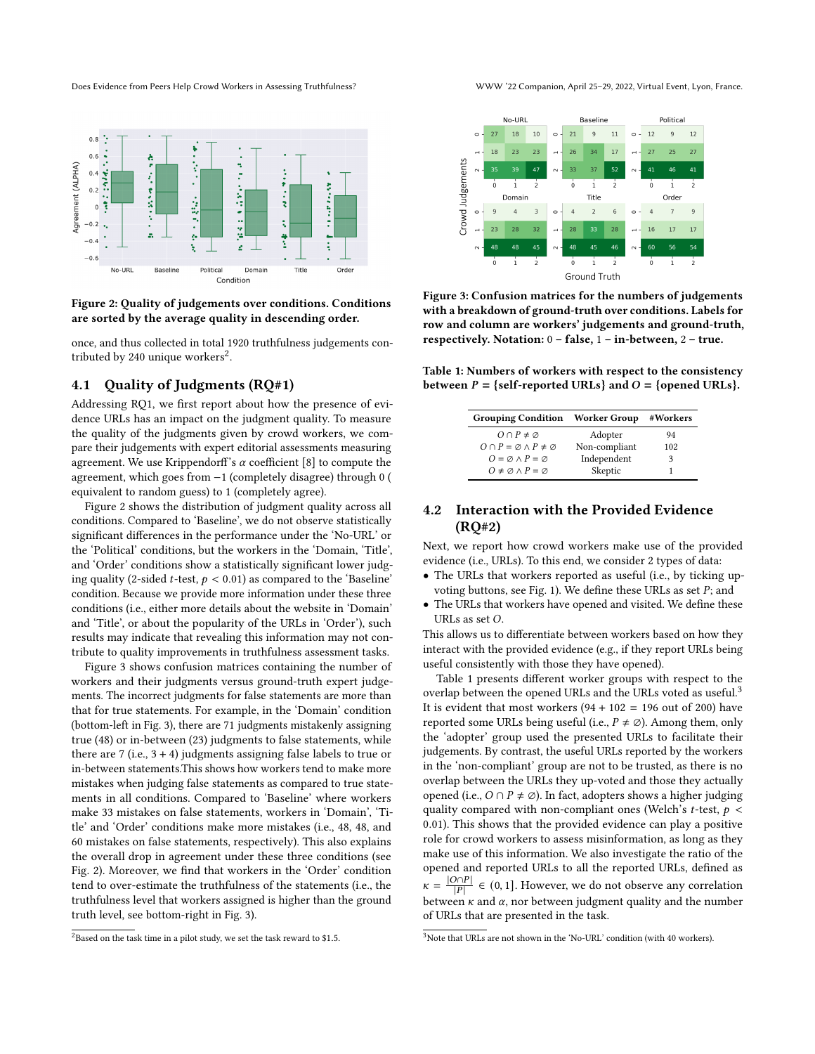<span id="page-2-0"></span>Does Evidence from Peers Help Crowd Workers in Assessing Truthfulness? WWW '22 Companion, April 25–29, 2022, Virtual Event, Lyon, France.



#### Figure 2: Quality of judgements over conditions. Conditions are sorted by the average quality in descending order.

once, and thus collected in total 1920 truthfulness judgements con-tributed by [2](#page-0-0)40 unique workers $^2$ .

# 4.1 Quality of Judgments (RQ#1)

Addressing RQ1, we first report about how the presence of evidence URLs has an impact on the judgment quality. To measure the quality of the judgments given by crowd workers, we compare their judgements with expert editorial assessments measuring agreement. We use Krippendorff's  $\alpha$  coefficient [\[8\]](#page-3-12) to compute the agreement, which goes from −1 (completely disagree) through 0 ( equivalent to random guess) to 1 (completely agree).

Figure [2](#page-2-0) shows the distribution of judgment quality across all conditions. Compared to 'Baseline', we do not observe statistically significant differences in the performance under the 'No-URL' or the 'Political' conditions, but the workers in the 'Domain, 'Title', and 'Order' conditions show a statistically significant lower judging quality (2-sided *t*-test,  $p < 0.01$ ) as compared to the 'Baseline' condition. Because we provide more information under these three conditions (i.e., either more details about the website in 'Domain' and 'Title', or about the popularity of the URLs in 'Order'), such results may indicate that revealing this information may not contribute to quality improvements in truthfulness assessment tasks.

Figure [3](#page-2-1) shows confusion matrices containing the number of workers and their judgments versus ground-truth expert judgements. The incorrect judgments for false statements are more than that for true statements. For example, in the 'Domain' condition (bottom-left in Fig. [3\)](#page-2-1), there are 71 judgments mistakenly assigning true (48) or in-between (23) judgments to false statements, while there are 7 (i.e.,  $3 + 4$ ) judgments assigning false labels to true or in-between statements.This shows how workers tend to make more mistakes when judging false statements as compared to true statements in all conditions. Compared to 'Baseline' where workers make 33 mistakes on false statements, workers in 'Domain', 'Title' and 'Order' conditions make more mistakes (i.e., 48, 48, and 60 mistakes on false statements, respectively). This also explains the overall drop in agreement under these three conditions (see Fig. [2\)](#page-2-0). Moreover, we find that workers in the 'Order' condition tend to over-estimate the truthfulness of the statements (i.e., the truthfulness level that workers assigned is higher than the ground truth level, see bottom-right in Fig. [3\)](#page-2-1).

<span id="page-2-1"></span>

Figure 3: Confusion matrices for the numbers of judgements with a breakdown of ground-truth over conditions. Labels for row and column are workers' judgements and ground-truth, respectively. Notation:  $0 - false$ ,  $1 - in$ -between,  $2 - true$ .

<span id="page-2-2"></span>Table 1: Numbers of workers with respect to the consistency between  $P = \{ \text{self-reported URLs} \}$  and  $O = \{ \text{opened URLs} \}.$ 

| <b>Grouping Condition</b> Worker Group         |               | #Workers |
|------------------------------------------------|---------------|----------|
| $O \cap P \neq \emptyset$                      | Adopter       | 94       |
| $O \cap P = \emptyset \wedge P \neq \emptyset$ | Non-compliant | 102      |
| $Q = \emptyset \wedge P = \emptyset$           | Independent   | 3        |
| $Q \neq \emptyset \wedge P = \emptyset$        | Skeptic       |          |

# 4.2 Interaction with the Provided Evidence (RQ#2)

Next, we report how crowd workers make use of the provided evidence (i.e., URLs). To this end, we consider 2 types of data:

- The URLs that workers reported as useful (i.e., by ticking up-voting buttons, see Fig. [1\)](#page-1-0). We define these URLs as set  $P$ ; and
- The URLs that workers have opened and visited. We define these URLs as set  $O$ .

This allows us to differentiate between workers based on how they interact with the provided evidence (e.g., if they report URLs being useful consistently with those they have opened).

Table [1](#page-2-2) presents different worker groups with respect to the overlap between the opened URLs and the URLs voted as useful.<sup>[3](#page-0-0)</sup> It is evident that most workers  $(94 + 102 = 196$  out of 200) have reported some URLs being useful (i.e.,  $P \neq \emptyset$ ). Among them, only the 'adopter' group used the presented URLs to facilitate their judgements. By contrast, the useful URLs reported by the workers in the 'non-compliant' group are not to be trusted, as there is no overlap between the URLs they up-voted and those they actually opened (i.e.,  $O \cap P \neq \emptyset$ ). In fact, adopters shows a higher judging quality compared with non-compliant ones (Welch's t-test,  $p <$ 0.01). This shows that the provided evidence can play a positive role for crowd workers to assess misinformation, as long as they make use of this information. We also investigate the ratio of the opened and reported URLs to all the reported URLs, defined as  $\kappa =$  $|O \cap P|$  $\frac{|\partial \Omega|}{|P|} \in (0, 1].$  However, we do not observe any correlation between  $\kappa$  and  $\alpha$ , nor between judgment quality and the number of URLs that are presented in the task.

 $2B$ ased on the task time in a pilot study, we set the task reward to \$1.5.

<sup>3</sup>Note that URLs are not shown in the 'No-URL' condition (with 40 workers).